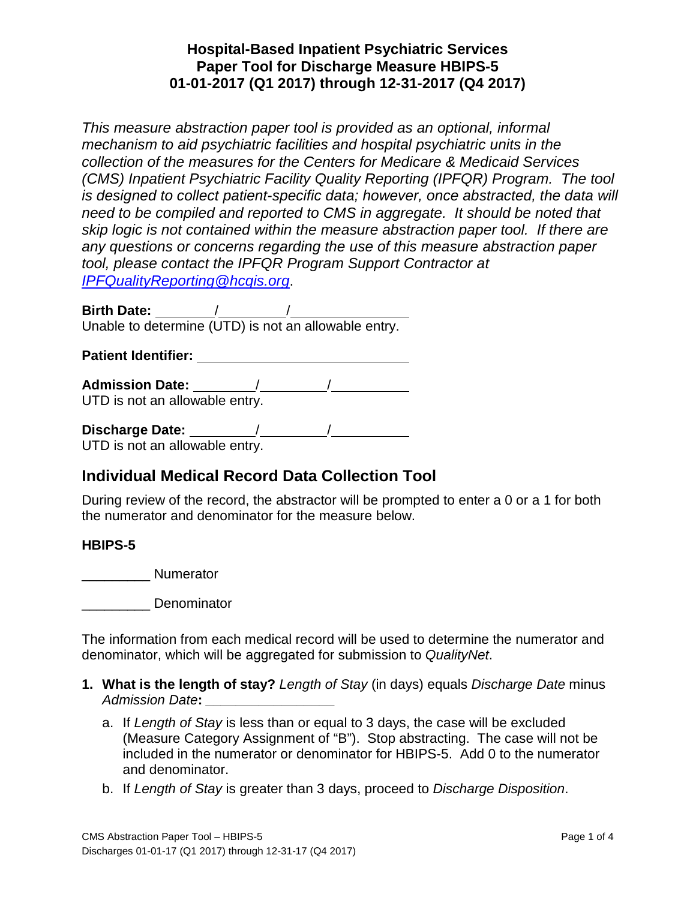## **Hospital-Based Inpatient Psychiatric Services Paper Tool for Discharge Measure HBIPS-5 01-01-2017 (Q1 2017) through 12-31-2017 (Q4 2017)**

*This measure abstraction paper tool is provided as an optional, informal mechanism to aid psychiatric facilities and hospital psychiatric units in the collection of the measures for the Centers for Medicare & Medicaid Services (CMS) Inpatient Psychiatric Facility Quality Reporting (IPFQR) Program. The tool is designed to collect patient-specific data; however, once abstracted, the data will need to be compiled and reported to CMS in aggregate. It should be noted that skip logic is not contained within the measure abstraction paper tool. If there are any questions or concerns regarding the use of this measure abstraction paper tool, please contact the IPFQR Program Support Contractor at [IPFQualityReporting@hcqis.org](mailto:IPFQualityReporting@hcqis.org)*.

**Birth Date:** / / Unable to determine (UTD) is not an allowable entry.

**Patient Identifier:**

**Admission Date:** / / UTD is not an allowable entry.

**Discharge Date:** / / UTD is not an allowable entry.

# **Individual Medical Record Data Collection Tool**

During review of the record, the abstractor will be prompted to enter a 0 or a 1 for both the numerator and denominator for the measure below.

#### **HBIPS-5**

\_\_\_\_\_\_\_\_\_ Numerator

\_\_\_\_\_\_\_\_\_ Denominator

The information from each medical record will be used to determine the numerator and denominator, which will be aggregated for submission to *QualityNet*.

- **1. What is the length of stay?** *Length of Stay* (in days) equals *Discharge Date* minus *Admission Date***:** *\_\_\_\_\_\_\_\_\_\_\_\_\_\_\_\_\_*
	- a. If *Length of Stay* is less than or equal to 3 days, the case will be excluded (Measure Category Assignment of "B"). Stop abstracting. The case will not be included in the numerator or denominator for HBIPS-5. Add 0 to the numerator and denominator.
	- b. If *Length of Stay* is greater than 3 days, proceed to *Discharge Disposition*.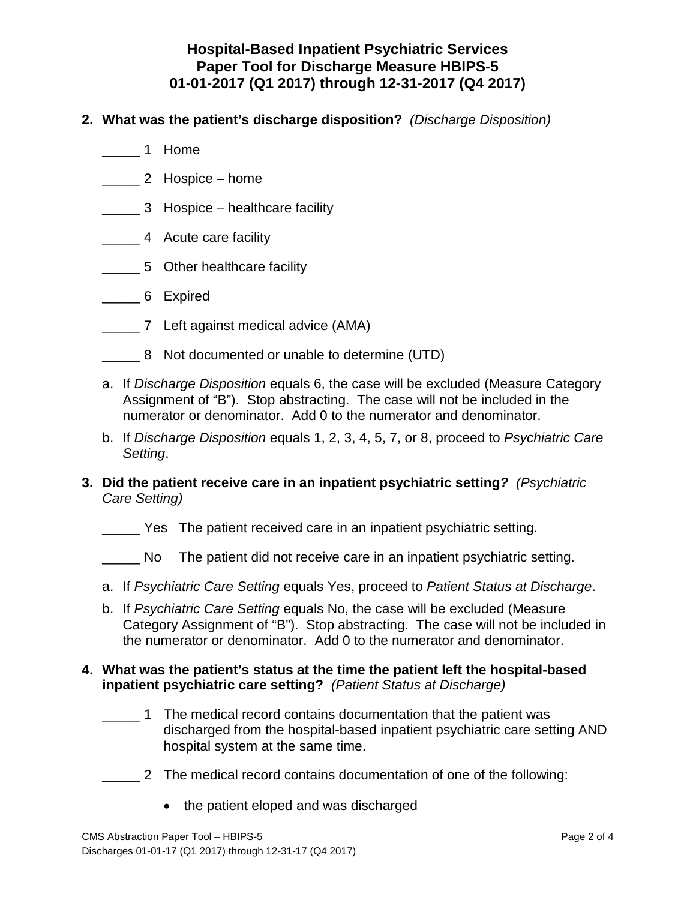## **Hospital-Based Inpatient Psychiatric Services Paper Tool for Discharge Measure HBIPS-5 01-01-2017 (Q1 2017) through 12-31-2017 (Q4 2017)**

- **2. What was the patient's discharge disposition?** *(Discharge Disposition)*
	- \_\_\_\_\_ 1 Home
	- \_\_\_\_\_ 2 Hospice home
	- \_\_\_\_\_ 3 Hospice healthcare facility
	- \_\_\_\_\_ 4 Acute care facility
	- \_\_\_\_\_ 5 Other healthcare facility
	- \_\_\_\_\_ 6 Expired
	- \_\_\_\_\_ 7 Left against medical advice (AMA)
	- \_\_\_\_\_ 8 Not documented or unable to determine (UTD)
	- a. If *Discharge Disposition* equals 6, the case will be excluded (Measure Category Assignment of "B"). Stop abstracting. The case will not be included in the numerator or denominator. Add 0 to the numerator and denominator.
	- b. If *Discharge Disposition* equals 1, 2, 3, 4, 5, 7, or 8, proceed to *Psychiatric Care Setting*.
- **3. Did the patient receive care in an inpatient psychiatric setting***? (Psychiatric Care Setting)*
	- \_\_\_\_ \_ Yes The patient received care in an inpatient psychiatric setting.
	- \_\_\_\_ \_ No The patient did not receive care in an inpatient psychiatric setting.
	- a. If *Psychiatric Care Setting* equals Yes, proceed to *Patient Status at Discharge*.
	- b. If *Psychiatric Care Setting* equals No, the case will be excluded (Measure Category Assignment of "B"). Stop abstracting. The case will not be included in the numerator or denominator. Add 0 to the numerator and denominator.

#### **4. What was the patient's status at the time the patient left the hospital-based inpatient psychiatric care setting?** *(Patient Status at Discharge)*

- \_\_\_\_\_ 1 The medical record contains documentation that the patient was discharged from the hospital-based inpatient psychiatric care setting AND hospital system at the same time.
- \_\_\_\_\_ 2 The medical record contains documentation of one of the following:
	- the patient eloped and was discharged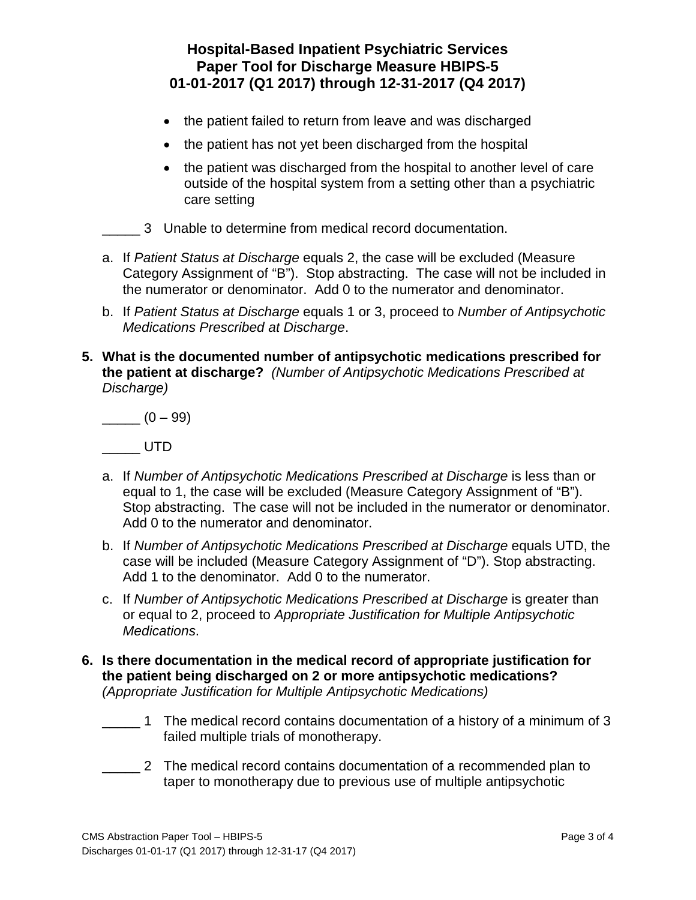- the patient failed to return from leave and was discharged
- the patient has not yet been discharged from the hospital
- the patient was discharged from the hospital to another level of care outside of the hospital system from a setting other than a psychiatric care setting
- \_\_\_\_\_ 3 Unable to determine from medical record documentation.
- a. If *Patient Status at Discharge* equals 2, the case will be excluded (Measure Category Assignment of "B"). Stop abstracting. The case will not be included in the numerator or denominator. Add 0 to the numerator and denominator.
- b. If *Patient Status at Discharge* equals 1 or 3, proceed to *Number of Antipsychotic Medications Prescribed at Discharge*.
- **5. What is the documented number of antipsychotic medications prescribed for the patient at discharge?** *(Number of Antipsychotic Medications Prescribed at Discharge)*

\_\_\_\_\_ (0 – 99)

\_\_\_\_\_\_ UTD

- a. If *Number of Antipsychotic Medications Prescribed at Discharge* is less than or equal to 1, the case will be excluded (Measure Category Assignment of "B"). Stop abstracting. The case will not be included in the numerator or denominator. Add 0 to the numerator and denominator.
- b. If *Number of Antipsychotic Medications Prescribed at Discharge* equals UTD, the case will be included (Measure Category Assignment of "D"). Stop abstracting. Add 1 to the denominator. Add 0 to the numerator.
- c. If *Number of Antipsychotic Medications Prescribed at Discharge* is greater than or equal to 2, proceed to *Appropriate Justification for Multiple Antipsychotic Medications*.
- **6. Is there documentation in the medical record of appropriate justification for the patient being discharged on 2 or more antipsychotic medications?**  *(Appropriate Justification for Multiple Antipsychotic Medications)*
	- \_\_\_\_\_ 1 The medical record contains documentation of a history of a minimum of 3 failed multiple trials of monotherapy.
	- \_\_\_\_\_ 2 The medical record contains documentation of a recommended plan to taper to monotherapy due to previous use of multiple antipsychotic